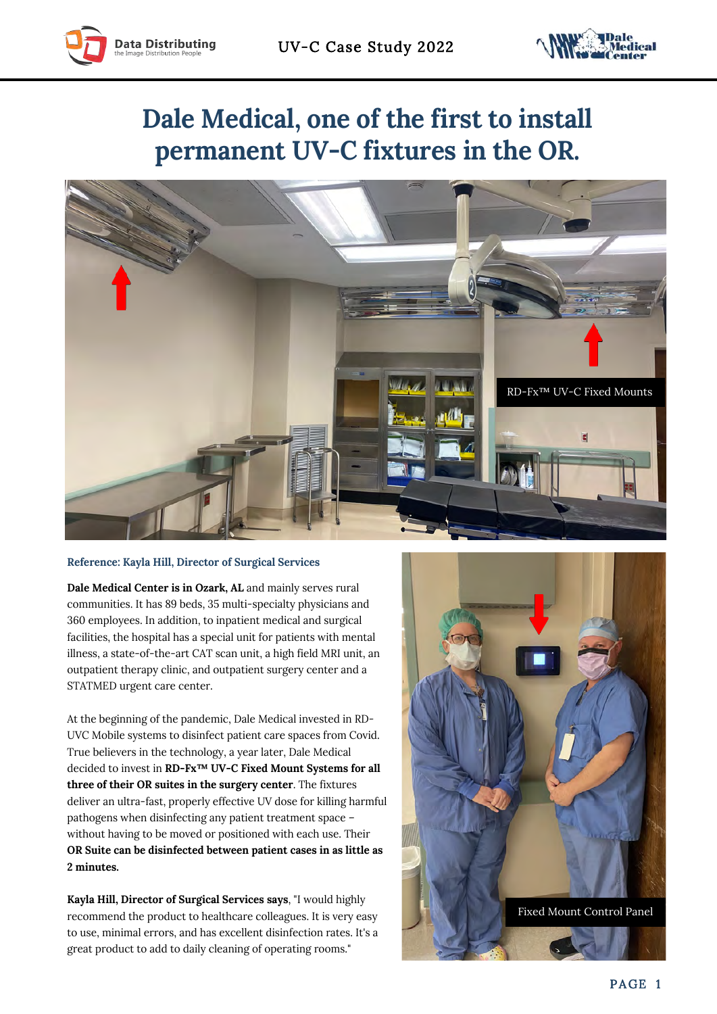



## **Dale Medical, one of the first to install permanent UV-C fixtures in the OR.**



## **Reference: Kayla Hill, Director of Surgical Services**

**Dale Medical Center is in Ozark, AL** and mainly serves rural communities. It has 89 beds, 35 multi-specialty physicians and 360 employees. In addition, to inpatient medical and surgical facilities, the hospital has a special unit for patients with mental illness, a state-of-the-art CAT scan unit, a high field MRI unit, an outpatient therapy clinic, and outpatient surgery center and a STATMED urgent care center.

At the beginning of the pandemic, Dale Medical invested in RD-UVC Mobile systems to disinfect patient care spaces from Covid. True believers in the technology, a year later, Dale Medical decided to invest in **RD-Fx™ UV-C Fixed Mount Systems for all three of their OR suites in the surgery center**. The fixtures deliver an ultra-fast, properly effective UV dose for killing harmful pathogens when disinfecting any patient treatment space – without having to be moved or positioned with each use. Their **OR Suite can be disinfected between patient cases in as little as 2 minutes.**

**Kayla Hill, Director of Surgical Services says**, "I would highly recommend the product to healthcare colleagues. It is very easy to use, minimal errors, and has excellent disinfection rates. It's a great product to add to daily cleaning of operating rooms."